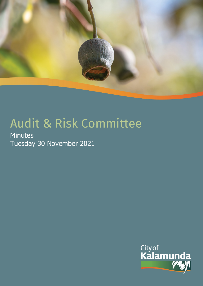

# Audit & Risk Committee

**Minutes** Tuesday 30 November 2021

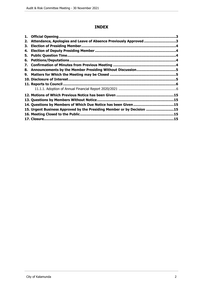# **INDEX**

| 1. |                                                                        |  |
|----|------------------------------------------------------------------------|--|
| 2. | Attendance, Apologies and Leave of Absence Previously Approved 3       |  |
| З. |                                                                        |  |
| 4. |                                                                        |  |
| 5. |                                                                        |  |
| 6. |                                                                        |  |
| 7. |                                                                        |  |
| 8. |                                                                        |  |
| 9. |                                                                        |  |
|    |                                                                        |  |
|    |                                                                        |  |
|    |                                                                        |  |
|    |                                                                        |  |
|    |                                                                        |  |
|    |                                                                        |  |
|    | 15. Urgent Business Approved by the Presiding Member or by Decision 15 |  |
|    |                                                                        |  |
|    |                                                                        |  |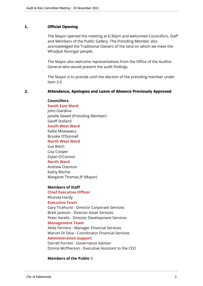## <span id="page-2-0"></span>**1. Official Opening**

The Mayor opened the meeting at 6:30pm and welcomed Councillors, Staff and Members of the Public Gallery. The Presiding Member also acknowledged the Traditional Owners of the land on which we meet the Whadjuk Noongar people.

The Mayor also welcome representatives from the Office of the Auditor General who would present the audit findings.

The Mayor is to preside until the election of the presiding member under item 3.0

# <span id="page-2-1"></span>**2. Attendance, Apologies and Leave of Absence Previously Approved**

#### **Councillors**

**South East Ward**  John Giardina Janelle Sewell (Presiding Member) Geoff Stallard **South West Ward** Kellie Miskiewicz Brooke O'Donnell **North West Ward** Sue Bilich Lisa Cooper Dylan O'Connor

## **North Ward**

Andrew Osenton Kathy Ritchie Margaret Thomas JP (Mayor)

#### **Members of Staff**

#### **Chief Executive Officer**

Rhonda Hardy

# **Executive Team**

Gary Ticehurst - Director Corporate Services Brett Jackson - Director Asset Services Peter Varelis - Director Development Services

#### **Management Team**

Alida Ferriera - Manager Financial Services Waruni Di Silva - Coordinator Financial Services **Administration Support**

Darrell Forrest - Governance Advisor Donna McPherson - Executive Assistant to the CEO

## **Members of the Public** 0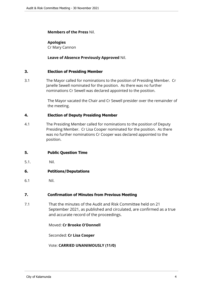### **Members of the Press** Nil.

## **Apologies**

Cr Mary Cannon

## **Leave of Absence Previously Approved** Nil.

#### <span id="page-3-0"></span>**3. Election of Presiding Member**

3.1 The Mayor called for nominations to the position of Presiding Member. Cr Janelle Sewell nominated for the position. As there was no further nominations Cr Sewell was declared appointed to the position.

> The Mayor vacated the Chair and Cr Sewell presider over the remainder of the meeting.

#### <span id="page-3-1"></span>**4. Election of Deputy Presiding Member**

4.1 The Presiding Member called for nominations to the position of Deputy Presiding Member. Cr Lisa Cooper nominated for the position. As there was no further nominations Cr Cooper was declared appointed to the position.

## <span id="page-3-2"></span>**5. Public Question Time**

5.1. Nil.

## <span id="page-3-3"></span>**6. Petitions/Deputations**

6.1 Nil.

#### <span id="page-3-4"></span>**7. Confirmation of Minutes from Previous Meeting**

7.1 That the minutes of the Audit and Risk Committee held on 21 September 2021, as published and circulated, are confirmed as a true and accurate record of the proceedings.

Moved: **Cr Brooke O'Donnell**

Seconded: **Cr Lisa Cooper**

Vote: **CARRIED UNANIMOUSLY (11/0)**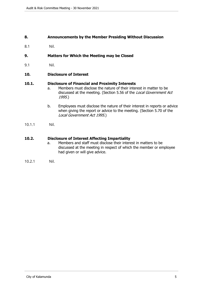#### <span id="page-4-0"></span>**8. Announcements by the Member Presiding Without Discussion**

8.1 Nil.

#### <span id="page-4-1"></span>**9. Matters for Which the Meeting may be Closed**

9.1 Nil.

#### <span id="page-4-2"></span>**10. Disclosure of Interest**

#### **10.1. Disclosure of Financial and Proximity Interests**

- a. Members must disclose the nature of their interest in matter to be discussed at the meeting. (Section 5.56 of the *Local Government Act 1995*.)
- b. Employees must disclose the nature of their interest in reports or advice when giving the report or advice to the meeting. (Section 5.70 of the *Local Government Act 1995*.)
- 10.1.1 Nil.

#### **10.2. Disclosure of Interest Affecting Impartiality**

- a. Members and staff must disclose their interest in matters to be discussed at the meeting in respect of which the member or employee had given or will give advice.
- 10.2.1 Nil.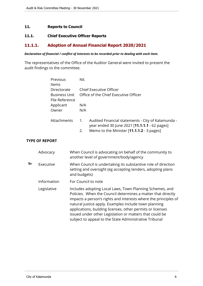# <span id="page-5-0"></span>**11. Reports to Council**

## **11.1. Chief Executive Officer Reports**

# <span id="page-5-1"></span>**11.1.1. Adoption of Annual Financial Report 2020/2021**

#### *Declaration of financial / conflict of interests to be recorded prior to dealing with each item.*

The representatives of the Office of the Auditor General were invited to present the audit findings to the committee.

|   |                       | Previous<br>Items<br>Directorate<br><b>Business Unit</b><br>File Reference<br>Applicant<br>Owner |                                                                                                                                              | Nil.<br>N/A<br>N/A                                                                                                                                                                                                                                                                                                                                                                                                                      | <b>Chief Executive Officer</b><br>Office of the Chief Executive Officer                                                                          |  |  |
|---|-----------------------|--------------------------------------------------------------------------------------------------|----------------------------------------------------------------------------------------------------------------------------------------------|-----------------------------------------------------------------------------------------------------------------------------------------------------------------------------------------------------------------------------------------------------------------------------------------------------------------------------------------------------------------------------------------------------------------------------------------|--------------------------------------------------------------------------------------------------------------------------------------------------|--|--|
|   | Attachments           |                                                                                                  |                                                                                                                                              | 1.<br>2.                                                                                                                                                                                                                                                                                                                                                                                                                                | Audited Financial statements - City of Kalamunda -<br>year ended 30 June 2021 [11.1.1.1 - 62 pages]<br>Memo to the Minister [11.1.1.2 - 3 pages] |  |  |
|   | <b>TYPE OF REPORT</b> |                                                                                                  |                                                                                                                                              |                                                                                                                                                                                                                                                                                                                                                                                                                                         |                                                                                                                                                  |  |  |
|   | Advocacy              |                                                                                                  |                                                                                                                                              |                                                                                                                                                                                                                                                                                                                                                                                                                                         | When Council is advocating on behalf of the community to<br>another level of government/body/agency                                              |  |  |
| ₻ | Executive             |                                                                                                  | When Council is undertaking its substantive role of direction<br>setting and oversight (eg accepting tenders, adopting plans<br>and budgets) |                                                                                                                                                                                                                                                                                                                                                                                                                                         |                                                                                                                                                  |  |  |
|   | Information           |                                                                                                  | For Council to note                                                                                                                          |                                                                                                                                                                                                                                                                                                                                                                                                                                         |                                                                                                                                                  |  |  |
|   | Legislative           |                                                                                                  |                                                                                                                                              | Includes adopting Local Laws, Town Planning Schemes, and<br>Policies. When the Council determines a matter that directly<br>impacts a person's rights and interests where the principles of<br>natural justice apply. Examples include town planning<br>applications, building licenses, other permits or licenses<br>issued under other Legislation or matters that could be<br>subject to appeal to the State Administrative Tribunal |                                                                                                                                                  |  |  |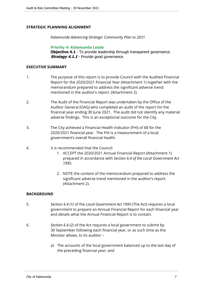## **STRATEGIC PLANNING ALIGNMENT**

*Kalamunda Advancing Strategic Community Plan to 2031*

**Priority 4: Kalamunda Leads Objective 4.1** - To provide leadership through transparent governance. **Strategy 4.1.1** - Provide good governance.

#### **EXECUTIVE SUMMARY**

- 1. The purpose of this report is to provide Council with the Audited Financial Report for the 2020/2021 Financial Year (Attachment 1) together with the memorandum prepared to address the significant adverse trend mentioned in the auditor's report. (Attachment 2).
- 2. The Audit of the Financial Report was undertaken by the Office of the Auditor General (OAG) who completed an audit of the report for the financial year ending 30 June 2021. The audit did not identify any material adverse findings. This is an exceptional outcome for the City.
- 3. The City achieved a Financial Health Indicator (FHI) of 68 for the 2020/2021 financial year. The FHI is a measurement of a local government's overall financial health.
- 4. It is recommended that the Council:
	- 1. ACCEPT the 2020/2021 Annual Financial Report (Attachment 1) prepared in accordance with *Section 6.4 of the Local Government Act 1995*.
	- 2. NOTE the content of the memorandum prepared to address the significant adverse trend mentioned in the auditor's report. (Attachment 2).

#### **BACKGROUND**

- 5. *Section 6.4 (1)* of the *Local Government Act 1995* (The Act) requires a local government to prepare an Annual Financial Report for each financial year and details what the Annual Financial Report is to contain.
- 6. *Section 6.4 (2)* of the Act requires a local government to submit by 30 September following each financial year, or as such time as the Minister allows, to its auditor –
	- a) The accounts of the local government balanced up to the last day of the preceding financial year; and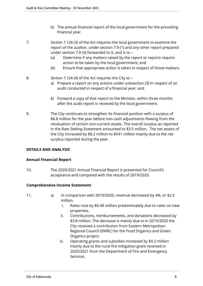b) The annual financial report of the local government for the preceding financial year.

7. *Section 7.12A (3)* of the Act requires the local government to examine the report of the auditor, under section 7.9 (1) and any other report prepared under section 7.9 (3) forwarded to it, and is to –

- (a) Determine if any matters raised by the report or reports require action to be taken by the local government; and
- (b) Ensure that appropriate action is taken in respect of those matters.
- 8. *Section 7.12A (4)* of the Act requires the City to
	- a) Prepare a report on any actions under subsection (3) in respect of an audit conducted in respect of a financial year; and
	- *b)* Forward a copy of that report to the Minister, within three months after the audit report is received by the local government.
- 9. The City continues to strengthen its financial position with a surplus of \$8.8 million for the year before non-cash adjustments flowing from the revaluation of certain non-current assets. The overall surplus as reported in the Rate Setting Statement amounted to \$3.5 million. The net assets of the City increased by \$8.2 million to \$541 million mainly due to the net surplus reported during the year.

## **DETAILS AND ANALYSIS**

## **Annual Financial Report**

10. The 2020/2021 Annual Financial Report is presented for Council's acceptance and compared with the results of 2019/2020.

## **Comprehensive Income Statement**

- 11. a) In comparison with 2019/2020, revenue decreased by 4%, or \$2.5 million.
	- i. Rates rose by \$0.48 million predominately due to rates on new properties.
	- ii. Contributions, reimbursements, and donations decreased by \$3.8 million. The decrease is mainly due to in 2019/2020 the City received a contribution from Eastern Metropolitan Regional Council (EMRC) for the Food Organics and Green Organics project.
	- iii. Operating grants and subsidies increased by \$0.2 million mainly due to the rural fire mitigation grant received in 2020/2021 from the Department of Fire and Emergency Services.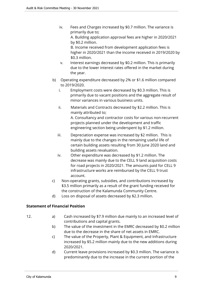iv. Fees and Charges increased by \$0.7 million. The variance is primarily due to;

A. Building application approval fees are higher in 2020/2021 by \$0.2 million.

B. Income received from development application fees is higher in 2020/2021 than the income received in 2019/2020 by \$0.3 million.

- v. Interest earnings decreased by \$0.2 million. This is primarily due to the lower interest rates offered in the market during the year.
- b) Operating expenditure decreased by 2% or \$1.6 million compared to 2019/2020.
	- i. Employment costs were decreased by \$0.3 million. This is primarily due to vacant positions and the aggregate result of minor variances in various business units.
	- ii. Materials and Contracts decreased by \$2.2 million. This is mainly attributed to; A. Consultancy and contractor costs for various non-recurrent projects planned under the development and traffic engineering section being underspent by \$1.2 million.
	- iii. Depreciation expense was increased by \$2 million. This is mainly due to the changes in the remaining useful life of certain building assets resulting from 30 June 2020 land and building assets revaluation.
	- iv. Other expenditure was decreased by \$1.2 million. The decrease was mainly due to the CELL 9 land acquisition costs for road projects in 2020/2021. The amounts paid for CELL 9 infrastructure works are reimbursed by the CELL 9 trust account.
- c) Non-operating grants, subsidies, and contributions increased by \$3.5 million primarily as a result of the grant funding received for the construction of the Kalamunda Community Centre.
- d) Loss on disposal of assets decreased by \$2.3 million.

# **Statement of Financial Position**

- 12. **a**) Cash increased by \$7.9 million due mainly to an increased level of contributions and capital grants.
	- b) The value of the investment in the EMRC decreased by \$0.2 million due to the decrease in the share of net assets in EMRC.
	- c) The value of the Property, Plant & Equipment, and Infrastructure increased by \$5.2 million mainly due to the new additions during 2020/2021.
	- d) Current leave provisions increased by \$0.3 million. The variance is predominantly due to the increase in the current portion of the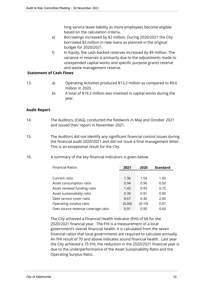long service leave liability as more employees become eligible based on the calculation criteria.

- e) Borrowings increased by \$2 million. During 2020/2021 the City borrowed \$3 million in new loans as planned in the original budget for 2020/2021.
- f) In Equity, the cash-backed reserves increased by \$9 million. The variance in reserves is primarily due to the adjustments made to unexpended capital works and specific purpose grants reserve and waste management reserve.

## **Statement of Cash Flows**

- 13. a) Operating Activities produced \$13.2 million as compared to \$9.6 million in 2020.
	- b) A total of \$19.2 million was invested in capital works during the year.

# **Audit Report**

- 14. The Auditors, (OAG), conducted the fieldwork in May and October 2021 and issued their report in November 2021.
- 15. The Auditors did not identify any significant financial control issues during the financial audit 2020/2021 and did not issue a final management letter. This is an exceptional result for the City.
- 16. A summary of the key financial indicators is given below.

| <b>Financial Ratios</b>           | 2021   | 2020   | <b>Standard</b> |
|-----------------------------------|--------|--------|-----------------|
|                                   |        |        |                 |
| Current ratio                     | 1.36   | 1.54   | 1.00            |
| Asset consumption ratio           | 0.94   | 0.96   | 0.50            |
| Asset renewal funding ratio       | 1.42   | 0.95   | 0.75            |
| Asset sustainability ratio        | 0.39   | 0.91   | 0.90            |
| Debt service cover ratio          | 8.67   | 6.36   | 2.00            |
| Operating surplus ratio           | (0.04) | (0.10) | 0.01            |
| Own source revenue coverage ratio | 0.91   | 0.90   | 0.60            |

The City achieved a Financial Health Indicator (FHI) of 68 for the 2020/2021 financial year. The FHI is a measurement of a local government's overall financial health. It is calculated from the seven financial ratios that local governments are required to calculate annually. An FHI result of 70 and above indicates sound financial health. Last year the City achieved a 75 FHI, the reduction in the 2020/2021 financial year is due to the underperformance of the Asset Sustainability Ratio and the Operating Surplus Ratio.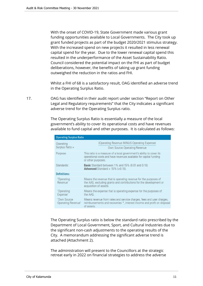With the onset of COVID-19, State Government made various grant funding opportunities available to Local Governments. The City took up grant funded projects as part of the budget 2020/2021 stimulus strategy. With the increased spend on new projects it resulted in less renewal capital spend for the year. Due to the lower renewal capital spend this resulted in the underperformance of the Asset Sustainability Ratio. Council considered the potential impact on the FHI as part of budget deliberations, however, the benefits of taking up grant funding outweighed the reduction in the ratios and FHI.

Whilst a FHI of 68 is a satisfactory result, OAG identified an adverse trend in the Operating Surplus Ratio.

17. OAG has identified in their audit report under section "Report on Other Legal and Regulatory requirements" that the City indicates a significant adverse trend for the Operating Surplus ratio.

> The Operating Surplus Ratio is essentially a measure of the local government's ability to cover its operational costs and have revenues available to fund capital and other purposes. It is calculated as follows:

| <b>Operating Surplus Ratio</b>    |                                                                                                                                                                 |  |  |  |  |
|-----------------------------------|-----------------------------------------------------------------------------------------------------------------------------------------------------------------|--|--|--|--|
| Operating                         | (Operating Revenue MINUS Operating Expense)                                                                                                                     |  |  |  |  |
| Surplus Ratio =                   | Own Source Operating Revenue                                                                                                                                    |  |  |  |  |
| Purpose:                          | This ratio is a measure of a local government's ability to cover its<br>operational costs and have revenues available for capital funding<br>or other purposes. |  |  |  |  |
| Standards:                        | <b>Basic</b> Standard between 1% and 15% (0.01 and 0.15)<br>Advanced Standard $> 15\%$ ( $> 0.15$ ).                                                            |  |  |  |  |
| <b>Definitions:</b>               |                                                                                                                                                                 |  |  |  |  |
| 'Operating<br>Revenue'            | Means the revenue that is operating revenue for the purposes of<br>the AAS, excluding grants and contributions for the development or<br>acquisition of assets. |  |  |  |  |
| 'Operating<br>Expense'            | Means the expense that is operating expense for the purposes of<br>the AAS.                                                                                     |  |  |  |  |
| 'Own Source<br>Operating Revenue' | Means revenue from rates and service charges, fees and user charges,<br>reimbursements and recoveries *, interest income and profit on disposal<br>of assets.   |  |  |  |  |

The Operating Surplus ratio is below the standard ratio prescribed by the Department of Local Government, Sport, and Cultural Industries due to the significant non-cash adjustments to the operating results of the City. A memorandum addressing the significant adverse trend is attached (Attachment 2).

The administration will present to the Councillors at the strategic retreat early in 2022 on financial strategies to address the adverse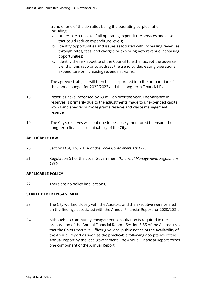trend of one of the six ratios being the operating surplus ratio, including:

- a. Undertake a review of all operating expenditure services and assets that could reduce expenditure levels;
- b. Identify opportunities and issues associated with increasing revenues through rates, fees, and charges or exploring new revenue increasing opportunities;
- c. Identify the risk appetite of the Council to either accept the adverse trend of this ratio or to address the trend by decreasing operational expenditure or increasing revenue streams.

The agreed strategies will then be incorporated into the preparation of the annual budget for 2022/2023 and the Long-term Financial Plan.

- 18. Reserves have increased by \$9 million over the year. The variance in reserves is primarily due to the adjustments made to unexpended capital works and specific purpose grants reserve and waste management reserve.
- 19. The City's reserves will continue to be closely monitored to ensure the long-term financial sustainability of the City.

# **APPLICABLE LAW**

- 20. Sections 6.4, 7.9, 7.12A of the *Local Government Act 1995*.
- 21. Regulation 51 of the Local Government *(Financial Management) Regulations 1996.*

## **APPLICABLE POLICY**

22. There are no policy implications.

## **STAKEHOLDER ENGAGEMENT**

- 23. The City worked closely with the Auditors and the Executive were briefed on the findings associated with the Annual Financial Report for 2020/2021.
- 24. Although no community engagement consultation is required in the preparation of the Annual Financial Report, Section 5.55 of the Act requires that the Chief Executive Officer give local public notice of the availability of the Annual Report as soon as the practicable following acceptance of the Annual Report by the local government. The Annual Financial Report forms one component of the Annual Report.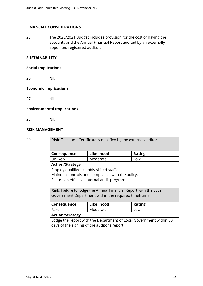# **FINANCIAL CONSIDERATIONS**

25. The 2020/2021 Budget includes provision for the cost of having the accounts and the Annual Financial Report audited by an externally appointed registered auditor.

# **SUSTAINABILITY**

#### **Social Implications**

26. Nil.

#### **Economic Implications**

27. Nil.

#### **Environmental Implications**

28. Nil.

#### **RISK MANAGEMENT**

29. **Risk**: The audit Certificate is qualified by the external auditor

| Consequence | Likelihood | <b>Rating</b> |  |  |
|-------------|------------|---------------|--|--|
| Unlikely    | Moderate   | LOW           |  |  |
|             |            |               |  |  |

**Action/Strategy**

Employ qualified suitably skilled staff.

Maintain controls and compliance with the policy.

Ensure an effective internal audit program.

**Risk**: Failure to lodge the Annual Financial Report with the Local Government Department within the required timeframe.

| Consequence                                                        | Likelihood | <b>Rating</b> |  |  |  |  |
|--------------------------------------------------------------------|------------|---------------|--|--|--|--|
| Rare                                                               | Moderate   | Low           |  |  |  |  |
| <b>Action/Strategy</b>                                             |            |               |  |  |  |  |
| Lodge the report with the Department of Local Government within 30 |            |               |  |  |  |  |
| days of the signing of the auditor's report.                       |            |               |  |  |  |  |
|                                                                    |            |               |  |  |  |  |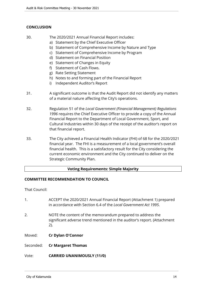# **CONCLUSION**

- 30. The 2020/2021 Annual Financial Report includes:
	- a) Statement by the Chief Executive Officer
	- b) Statement of Comprehensive Income by Nature and Type
	- c) Statement of Comprehensive Income by Program
	- d) Statement on Financial Position
	- e) Statement of Changes in Equity
	- f) Statement of Cash Flows.
	- g) Rate Setting Statement
	- h) Notes to and forming part of the Financial Report
	- i) Independent Auditor's Report
- 31. A significant outcome is that the Audit Report did not identify any matters of a material nature affecting the City's operations.
- 32. Regulation 51 of the *Local Government (Financial Management) Regulations 1996* requires the Chief Executive Officer to provide a copy of the Annual Financial Report to the Department of Local Government, Sport, and Cultural Industries within 30 days of the receipt of the auditor's report on that financial report.
- 33. The City achieved a Financial Health Indicator (FHI) of 68 for the 2020/2021 financial year. The FHI is a measurement of a local government's overall financial health. This is a satisfactory result for the City considering the current economic environment and the City continued to deliver on the Strategic Community Plan.

# **Voting Requirements: Simple Majority**

## **COMMITTEE RECOMMENDATION TO COUNCIL**

That Council:

- 1. ACCEPT the 2020/2021 Annual Financial Report (Attachment 1) prepared in accordance with Section 6.4 of the *Local Government Act 1995*. 2. NOTE the content of the memorandum prepared to address the significant adverse trend mentioned in the auditor's report. (Attachment 2).
- Moved: **Cr Dylan O'Connor**
- Seconded: **Cr Margaret Thomas**

Vote: **CARRIED UNANIMOUSLY (11/0)**